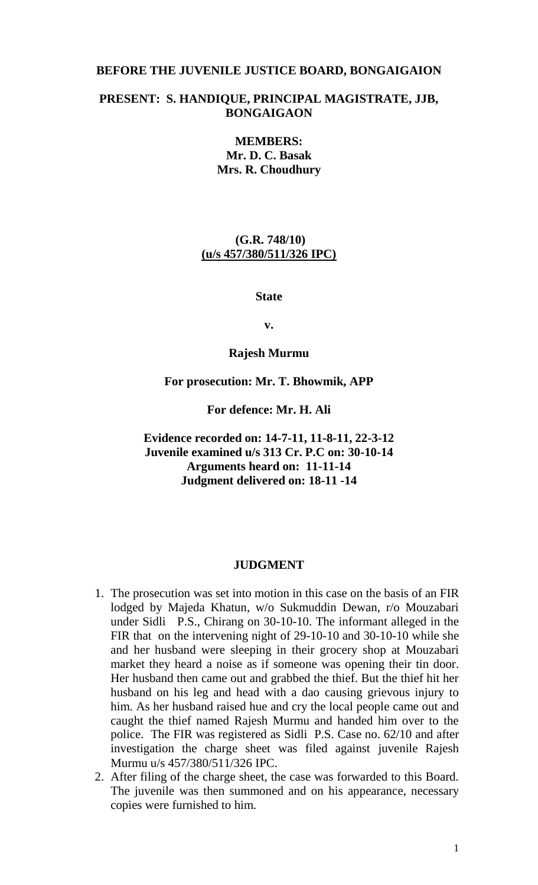#### **BEFORE THE JUVENILE JUSTICE BOARD, BONGAIGAION**

## **PRESENT: S. HANDIQUE, PRINCIPAL MAGISTRATE, JJB, BONGAIGAON**

**MEMBERS: Mr. D. C. Basak Mrs. R. Choudhury**

**(G.R. 748/10) (u/s 457/380/511/326 IPC)**

**State**

**v.**

#### **Rajesh Murmu**

#### **For prosecution: Mr. T. Bhowmik, APP**

### **For defence: Mr. H. Ali**

**Evidence recorded on: 14-7-11, 11-8-11, 22-3-12 Juvenile examined u/s 313 Cr. P.C on: 30-10-14 Arguments heard on: 11-11-14 Judgment delivered on: 18-11 -14**

#### **JUDGMENT**

- 1. The prosecution was set into motion in this case on the basis of an FIR lodged by Majeda Khatun, w/o Sukmuddin Dewan, r/o Mouzabari under Sidli P.S., Chirang on 30-10-10. The informant alleged in the FIR that on the intervening night of 29-10-10 and 30-10-10 while she and her husband were sleeping in their grocery shop at Mouzabari market they heard a noise as if someone was opening their tin door. Her husband then came out and grabbed the thief. But the thief hit her husband on his leg and head with a dao causing grievous injury to him. As her husband raised hue and cry the local people came out and caught the thief named Rajesh Murmu and handed him over to the police. The FIR was registered as Sidli P.S. Case no. 62/10 and after investigation the charge sheet was filed against juvenile Rajesh Murmu u/s 457/380/511/326 IPC.
- 2. After filing of the charge sheet, the case was forwarded to this Board. The juvenile was then summoned and on his appearance, necessary copies were furnished to him.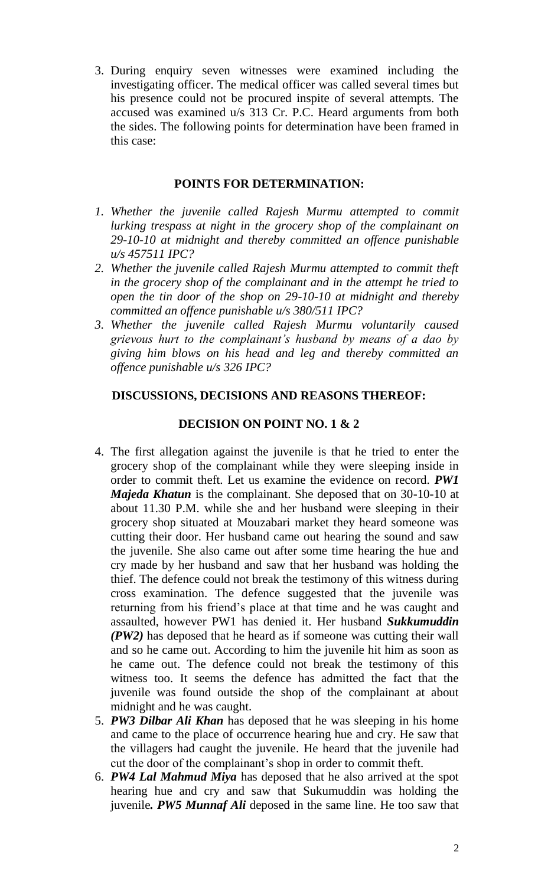3. During enquiry seven witnesses were examined including the investigating officer. The medical officer was called several times but his presence could not be procured inspite of several attempts. The accused was examined u/s 313 Cr. P.C. Heard arguments from both the sides. The following points for determination have been framed in this case:

## **POINTS FOR DETERMINATION:**

- *1. Whether the juvenile called Rajesh Murmu attempted to commit lurking trespass at night in the grocery shop of the complainant on 29-10-10 at midnight and thereby committed an offence punishable u/s 457511 IPC?*
- *2. Whether the juvenile called Rajesh Murmu attempted to commit theft in the grocery shop of the complainant and in the attempt he tried to open the tin door of the shop on 29-10-10 at midnight and thereby committed an offence punishable u/s 380/511 IPC?*
- *3. Whether the juvenile called Rajesh Murmu voluntarily caused grievous hurt to the complainant's husband by means of a dao by giving him blows on his head and leg and thereby committed an offence punishable u/s 326 IPC?*

# **DISCUSSIONS, DECISIONS AND REASONS THEREOF:**

## **DECISION ON POINT NO. 1 & 2**

- 4. The first allegation against the juvenile is that he tried to enter the grocery shop of the complainant while they were sleeping inside in order to commit theft. Let us examine the evidence on record. *PW1 Majeda Khatun* is the complainant. She deposed that on 30-10-10 at about 11.30 P.M. while she and her husband were sleeping in their grocery shop situated at Mouzabari market they heard someone was cutting their door. Her husband came out hearing the sound and saw the juvenile. She also came out after some time hearing the hue and cry made by her husband and saw that her husband was holding the thief. The defence could not break the testimony of this witness during cross examination. The defence suggested that the juvenile was returning from his friend's place at that time and he was caught and assaulted, however PW1 has denied it. Her husband *Sukkumuddin (PW2)* has deposed that he heard as if someone was cutting their wall and so he came out. According to him the juvenile hit him as soon as he came out. The defence could not break the testimony of this witness too. It seems the defence has admitted the fact that the juvenile was found outside the shop of the complainant at about midnight and he was caught.
- 5. *PW3 Dilbar Ali Khan* has deposed that he was sleeping in his home and came to the place of occurrence hearing hue and cry. He saw that the villagers had caught the juvenile. He heard that the juvenile had cut the door of the complainant's shop in order to commit theft.
- 6. *PW4 Lal Mahmud Miya* has deposed that he also arrived at the spot hearing hue and cry and saw that Sukumuddin was holding the juvenile*. PW5 Munnaf Ali* deposed in the same line. He too saw that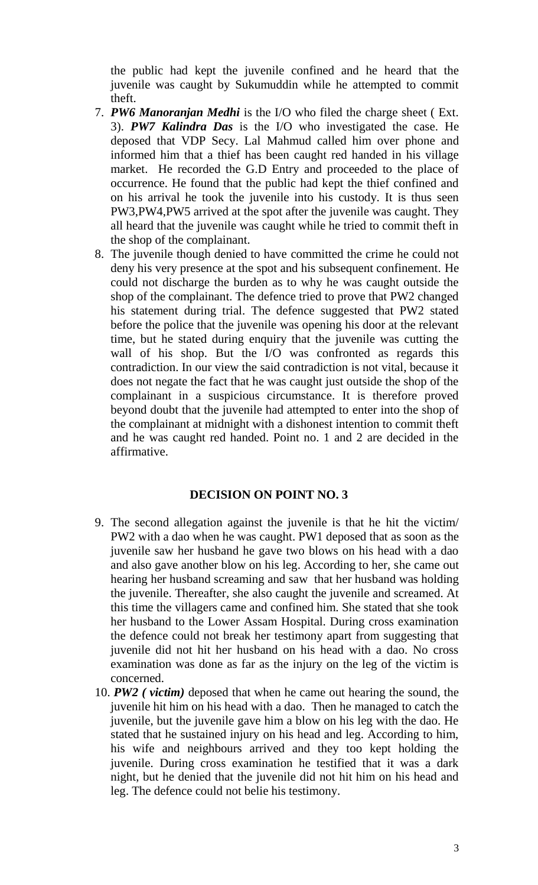the public had kept the juvenile confined and he heard that the juvenile was caught by Sukumuddin while he attempted to commit theft.

- 7. *PW6 Manoranjan Medhi* is the I/O who filed the charge sheet ( Ext. 3). *PW7 Kalindra Das* is the I/O who investigated the case. He deposed that VDP Secy. Lal Mahmud called him over phone and informed him that a thief has been caught red handed in his village market. He recorded the G.D Entry and proceeded to the place of occurrence. He found that the public had kept the thief confined and on his arrival he took the juvenile into his custody. It is thus seen PW3,PW4,PW5 arrived at the spot after the juvenile was caught. They all heard that the juvenile was caught while he tried to commit theft in the shop of the complainant.
- 8. The juvenile though denied to have committed the crime he could not deny his very presence at the spot and his subsequent confinement. He could not discharge the burden as to why he was caught outside the shop of the complainant. The defence tried to prove that PW2 changed his statement during trial. The defence suggested that PW2 stated before the police that the juvenile was opening his door at the relevant time, but he stated during enquiry that the juvenile was cutting the wall of his shop. But the I/O was confronted as regards this contradiction. In our view the said contradiction is not vital, because it does not negate the fact that he was caught just outside the shop of the complainant in a suspicious circumstance. It is therefore proved beyond doubt that the juvenile had attempted to enter into the shop of the complainant at midnight with a dishonest intention to commit theft and he was caught red handed. Point no. 1 and 2 are decided in the affirmative.

## **DECISION ON POINT NO. 3**

- 9. The second allegation against the juvenile is that he hit the victim/ PW2 with a dao when he was caught. PW1 deposed that as soon as the juvenile saw her husband he gave two blows on his head with a dao and also gave another blow on his leg. According to her, she came out hearing her husband screaming and saw that her husband was holding the juvenile. Thereafter, she also caught the juvenile and screamed. At this time the villagers came and confined him. She stated that she took her husband to the Lower Assam Hospital. During cross examination the defence could not break her testimony apart from suggesting that juvenile did not hit her husband on his head with a dao. No cross examination was done as far as the injury on the leg of the victim is concerned.
- 10. *PW2 ( victim)* deposed that when he came out hearing the sound, the juvenile hit him on his head with a dao. Then he managed to catch the juvenile, but the juvenile gave him a blow on his leg with the dao. He stated that he sustained injury on his head and leg. According to him, his wife and neighbours arrived and they too kept holding the juvenile. During cross examination he testified that it was a dark night, but he denied that the juvenile did not hit him on his head and leg. The defence could not belie his testimony.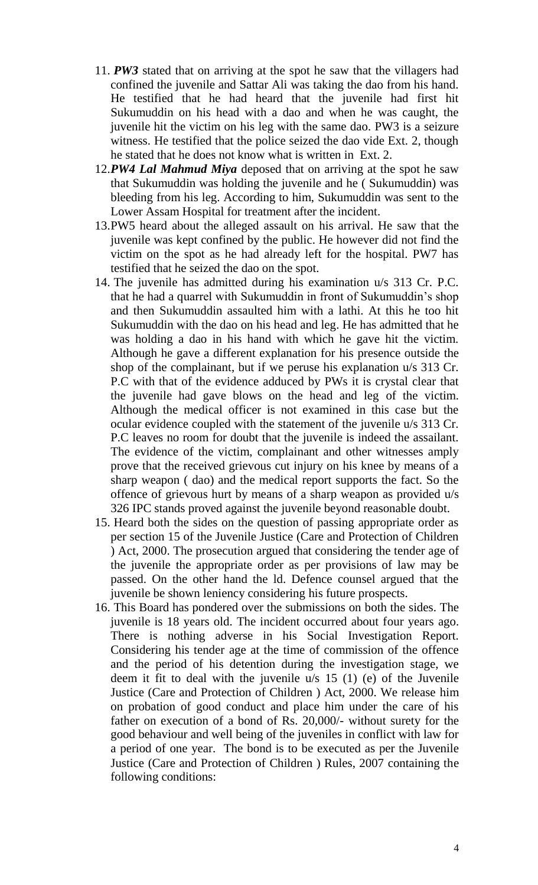- 11. *PW3* stated that on arriving at the spot he saw that the villagers had confined the juvenile and Sattar Ali was taking the dao from his hand. He testified that he had heard that the juvenile had first hit Sukumuddin on his head with a dao and when he was caught, the juvenile hit the victim on his leg with the same dao. PW3 is a seizure witness. He testified that the police seized the dao vide Ext. 2, though he stated that he does not know what is written in Ext. 2.
- 12.*PW4 Lal Mahmud Miya* deposed that on arriving at the spot he saw that Sukumuddin was holding the juvenile and he ( Sukumuddin) was bleeding from his leg. According to him, Sukumuddin was sent to the Lower Assam Hospital for treatment after the incident.
- 13.PW5 heard about the alleged assault on his arrival. He saw that the juvenile was kept confined by the public. He however did not find the victim on the spot as he had already left for the hospital. PW7 has testified that he seized the dao on the spot.
- 14. The juvenile has admitted during his examination u/s 313 Cr. P.C. that he had a quarrel with Sukumuddin in front of Sukumuddin's shop and then Sukumuddin assaulted him with a lathi. At this he too hit Sukumuddin with the dao on his head and leg. He has admitted that he was holding a dao in his hand with which he gave hit the victim. Although he gave a different explanation for his presence outside the shop of the complainant, but if we peruse his explanation u/s 313 Cr. P.C with that of the evidence adduced by PWs it is crystal clear that the juvenile had gave blows on the head and leg of the victim. Although the medical officer is not examined in this case but the ocular evidence coupled with the statement of the juvenile u/s 313 Cr. P.C leaves no room for doubt that the juvenile is indeed the assailant. The evidence of the victim, complainant and other witnesses amply prove that the received grievous cut injury on his knee by means of a sharp weapon ( dao) and the medical report supports the fact. So the offence of grievous hurt by means of a sharp weapon as provided u/s 326 IPC stands proved against the juvenile beyond reasonable doubt.
- 15. Heard both the sides on the question of passing appropriate order as per section 15 of the Juvenile Justice (Care and Protection of Children ) Act, 2000. The prosecution argued that considering the tender age of the juvenile the appropriate order as per provisions of law may be passed. On the other hand the ld. Defence counsel argued that the juvenile be shown leniency considering his future prospects.
- 16. This Board has pondered over the submissions on both the sides. The juvenile is 18 years old. The incident occurred about four years ago. There is nothing adverse in his Social Investigation Report. Considering his tender age at the time of commission of the offence and the period of his detention during the investigation stage, we deem it fit to deal with the juvenile u/s 15 (1) (e) of the Juvenile Justice (Care and Protection of Children ) Act, 2000. We release him on probation of good conduct and place him under the care of his father on execution of a bond of Rs. 20,000/- without surety for the good behaviour and well being of the juveniles in conflict with law for a period of one year. The bond is to be executed as per the Juvenile Justice (Care and Protection of Children ) Rules, 2007 containing the following conditions: